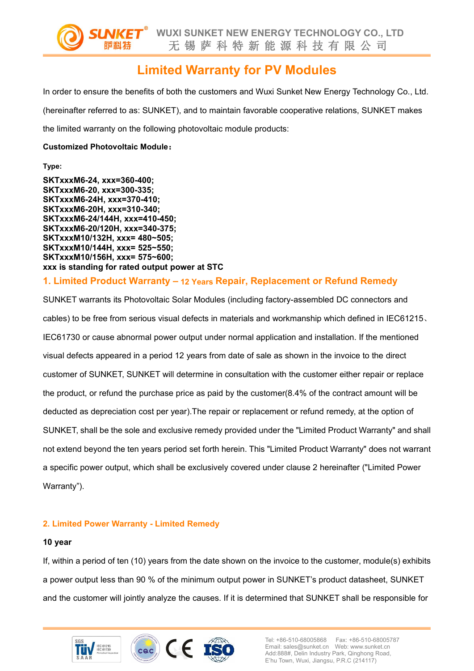

# **Limited Warranty for PV Modules**

In order to ensure the benefits of both the customers and Wuxi Sunket New Energy Technology Co., Ltd. (hereinafter referred to as: SUNKET), and to maintain favorable cooperative relations, SUNKET makes the limited warranty on the following photovoltaic module products:

#### **Customized Photovoltaic Module:**

**Type:**

**SKTxxxM6-24, xxx=360-400; SKTxxxM6-20, xxx=300-335; SKTxxxM6-24H, xxx=370-410; SKTxxxM6-20H, xxx=310-340; SKTxxxM6-24/144H, xxx=410-450; SKTxxxM6-20/120H, xxx=340-375; SKTxxxM10/132H, xxx= 480~505; SKTxxxM10/144H, xxx= 525~550; SKTxxxM10/156H, xxx= 575~600; xxx is standing for rated output power at STC**

## **1. Limited Product Warranty – 12 Years Repair, Replacement or Refund Remedy**

SUNKET warrants its Photovoltaic Solar Modules (including factory-assembled DC connectors and cables) to be free from serious visual defects in materials and workmanship which defined in IEC61215、 IEC61730 or cause abnormal power output under normal application and installation. If the mentioned visual defects appeared in a period 12 years from date of sale as shown in the invoice to the direct customer of SUNKET, SUNKET will determine in consultation with the customer either repair or replace the product, or refund the purchase price as paid by the customer(8.4% of the contract amount will be deducted as depreciation cost per year).The repair or replacement or refund remedy, at the option of SUNKET, shall be the sole and exclusive remedy provided under the "Limited Product Warranty" and shall not extend beyond the ten years period set forth herein. This "Limited Product Warranty" does not warrant a specific power output, which shall be exclusively covered under clause 2 hereinafter ("Limited Power Warranty").

### **2. Limited Power Warranty - Limited Remedy**

#### **10 year**

If, within a period of ten (10) years from the date shown on the invoice to the customer, module(s) exhibits a power output less than 90 % of the minimum output power in SUNKET's product datasheet, SUNKET and the customer will jointly analyze the causes. If it is determined that SUNKET shall be responsible for

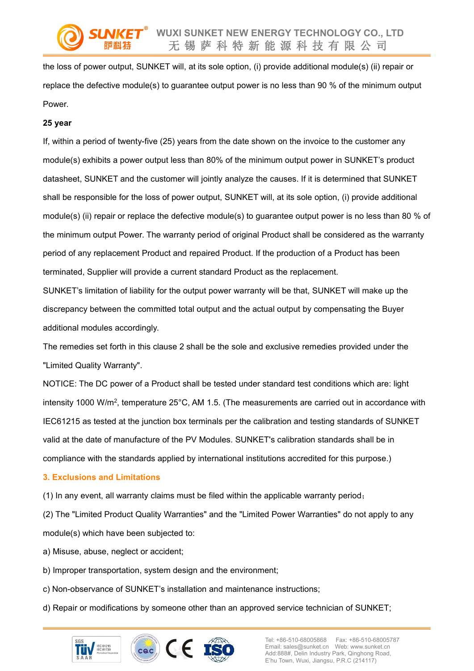the loss of power output, SUNKET will, at its sole option, (i) provide additional module(s) (ii) repair or replace the defective module(s) to guarantee output power is no less than 90 % of the minimum output Power.

#### **25 year**

If, within a period of twenty-five (25) years from the date shown on the invoice to the customer any module(s) exhibits a power output less than 80% of the minimum output power in SUNKET's product datasheet, SUNKET and the customer will jointly analyze the causes. If it is determined that SUNKET shall be responsible for the loss of power output, SUNKET will, at its sole option, (i) provide additional module(s) (ii) repair or replace the defective module(s) to guarantee output power is no less than 80 % of the minimum output Power. The warranty period of original Product shall be considered as the warranty period of any replacement Product and repaired Product. If the production of a Product has been terminated, Supplier will provide a current standard Product as the replacement.

SUNKET's limitation of liability for the output power warranty will be that, SUNKET will make up the discrepancy between the committed total output and the actual output by compensating the Buyer additional modules accordingly.

The remedies set forth in this clause 2 shall be the sole and exclusive remedies provided under the "Limited Quality Warranty".

NOTICE: The DC power of a Product shall be tested under standard test conditions which are: light intensity 1000 W/m<sup>2</sup> , temperature 25°C, AM 1.5. (The measurements are carried out in accordance with IEC61215 as tested at the junction box terminals per the calibration and testing standards of SUNKET valid at the date of manufacture of the PV Modules. SUNKET's calibration standards shall be in compliance with the standards applied by international institutions accredited for this purpose.)

#### **3. Exclusions and Limitations**

(1) In any event, all warranty claims must be filed within the applicable warranty period;

(2) The "Limited Product Quality Warranties" and the "Limited Power Warranties" do not apply to any module(s) which have been subjected to:

- a) Misuse, abuse, neglect or accident;
- b) Improper transportation, system design and the environment;
- c) Non-observance of SUNKET's installation and maintenance instructions;
- d) Repair or modifications by someone other than an approved service technician of SUNKET;

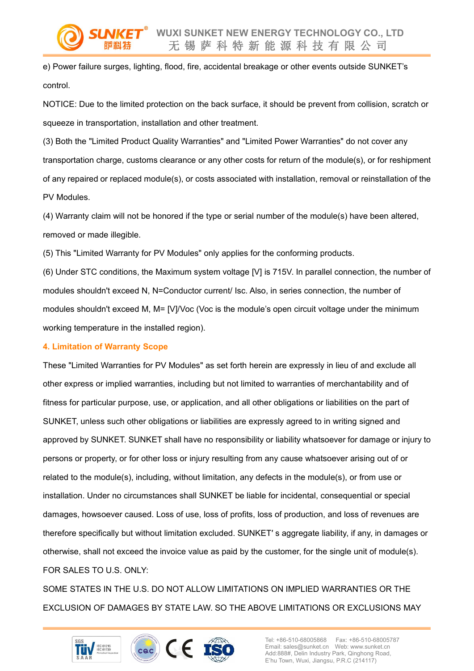e) Power failure surges, lighting, flood, fire, accidental breakage or other events outside SUNKET's control.

NOTICE: Due to the limited protection on the back surface, it should be prevent from collision, scratch or squeeze in transportation, installation and other treatment.

(3) Both the "Limited Product Quality Warranties" and "Limited Power Warranties" do not cover any transportation charge, customs clearance or any other costs for return of the module(s), or for reshipment of any repaired or replaced module(s), or costs associated with installation,removal or reinstallation of the PV Modules.

(4) Warranty claim will not be honored if the type or serial number of the module(s) have been altered, removed or made illegible.

(5) This "Limited Warranty for PV Modules" only applies for the conforming products.

(6) Under STC conditions, the Maximum system voltage [V] is 715V.In parallel connection, the number of modules shouldn't exceed N, N=Conductor current/ Isc. Also, in series connection, the number of modules shouldn't exceed M, M= [V]/Voc (Voc is the module's open circuit voltage under the minimum working temperature in the installed region).

#### **4. Limitation of Warranty Scope**

These "Limited Warranties for PV Modules" as setforth herein are expressly in lieu of and exclude all other express or implied warranties, including but not limited to warranties of merchantability and of fitness for particular purpose, use, or application, and all other obligations or liabilities on the part of SUNKET, unless such other obligations or liabilities are expressly agreed to in writing signed and approved by SUNKET. SUNKET shall have no responsibility or liability whatsoever for damage or injury to persons or property, or for other loss or injury resulting from any cause whatsoever arising out of or related to the module(s), including, without limitation, any defects in the module(s), or from use or installation. Under no circumstances shall SUNKET be liable for incidental, consequential or special damages, howsoever caused. Loss of use, loss of profits, loss of production, and loss of revenues are therefore specifically but without limitation excluded. SUNKET′ s aggregate liability, if any, in damages or otherwise, shall not exceed the invoice value as paid by the customer, for the single unit of module(s). FOR SALES TO U.S. ONLY:

SOME STATES IN THE U.S. DO NOT ALLOW LIMITATIONS ON IMPLIED WARRANTIES OR THE EXCLUSION OF DAMAGES BY STATE LAW. SO THE ABOVE LIMITATIONS OR EXCLUSIONS MAY



Tel: +86-510-68005868 Fax: +86-510-68005787 Email: sales@sunket.cn Web: www.sunket.cn Add:888#, Delin Industry Park, Qinghong Road, E'hu Town, Wuxi, Jiangsu, P.R.C (214117)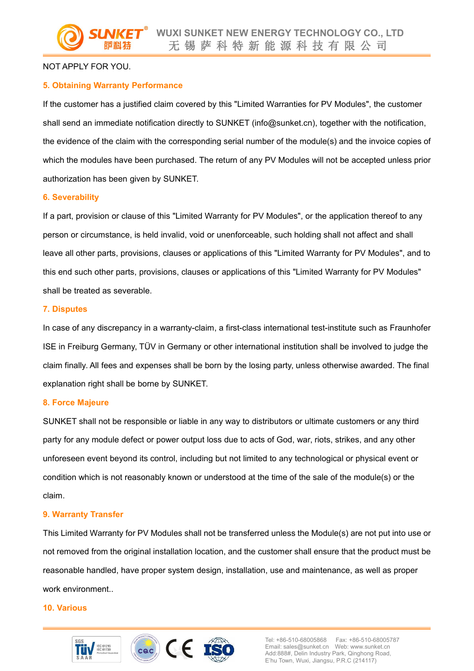#### NOT APPLY FOR YOU.

#### **5. Obtaining Warranty Performance**

If the customer has a justified claim covered by this "Limited Warranties for PV Modules", the customer shall send an immediate notification directly to SUNKET (info@sunket.cn), together with the notification, the evidence of the claim with the corresponding serial number of the module(s) and the invoice copies of which the modules have been purchased. The return of any PV Modules will not be accepted unless prior authorization has been given by SUNKET.

#### **6. Severability**

If a part, provision or clause of this "Limited Warranty for PV Modules", or the application thereof to any person or circumstance, is held invalid, void or unenforceable, such holding shall not affect and shall leave all other parts, provisions, clauses or applications of this "Limited Warranty for PV Modules", and to this end such other parts, provisions, clauses or applications of this "Limited Warranty for PV Modules" shall be treated as severable.

#### **7. Disputes**

In case of any discrepancy in a warranty-claim, a first-class international test-institute such as Fraunhofer ISE in Freiburg Germany, TÜV in Germany or other international institution shall be involved to judge the claim finally. All fees and expenses shall be born by the losing party, unless otherwise awarded. The final explanation right shall be borne by SUNKET.

#### **8. Force Majeure**

SUNKET shall not be responsible or liable in any way to distributors or ultimate customers or any third party for any module defect or power output loss due to acts of God, war, riots, strikes, and any other unforeseen event beyond its control, including but not limited to any technological or physical event or condition which is not reasonably known or understood at the time of the sale of the module(s) or the claim.

#### **9. Warranty Transfer**

This Limited Warranty for PV Modules shall not be transferred unless the Module(s) are not put into use or not removed from the original installation location, and the customer shall ensure that the product must be reasonable handled, have proper system design, installation, use and maintenance, as well as proper work environment..

#### **10. Various**